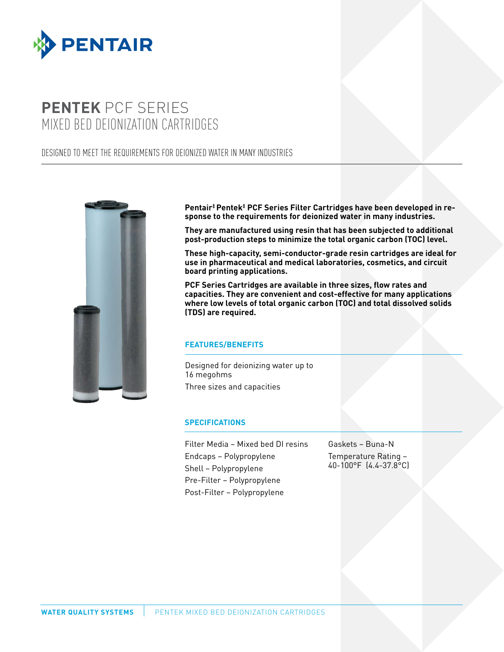

# **PENTEK** PCF SERIES MIXED BED DEIONIZATION CARTRIDGES

# DESIGNED TO MEET THE REQUIREMENTS FOR DEIONIZED WATER IN MANY INDUSTRIES



**Pentair‡Pentek‡ PCF Series Filter Cartridges have been developed in response to the requirements for deionized water in many industries.**

**They are manufactured using resin that has been subjected to additional post-production steps to minimize the total organic carbon (TOC) level.**

**These high-capacity, semi-conductor-grade resin cartridges are ideal for use in pharmaceutical and medical laboratories, cosmetics, and circuit board printing applications.**

**PCF Series Cartridges are available in three sizes, flow rates and capacities. They are convenient and cost-effective for many applications where low levels of total organic carbon (TOC) and total dissolved solids (TDS) are required.**

## **FEATURES/BENEFITS**

Designed for deionizing water up to 16 megohms Three sizes and capacities

#### **SPECIFICATIONS**

Filter Media – Mixed bed DI resins Endcaps – Polypropylene Shell – Polypropylene Pre-Filter – Polypropylene Post-Filter – Polypropylene

Gaskets – Buna-N Temperature Rating – 40-100°F (4.4-37.8°C)